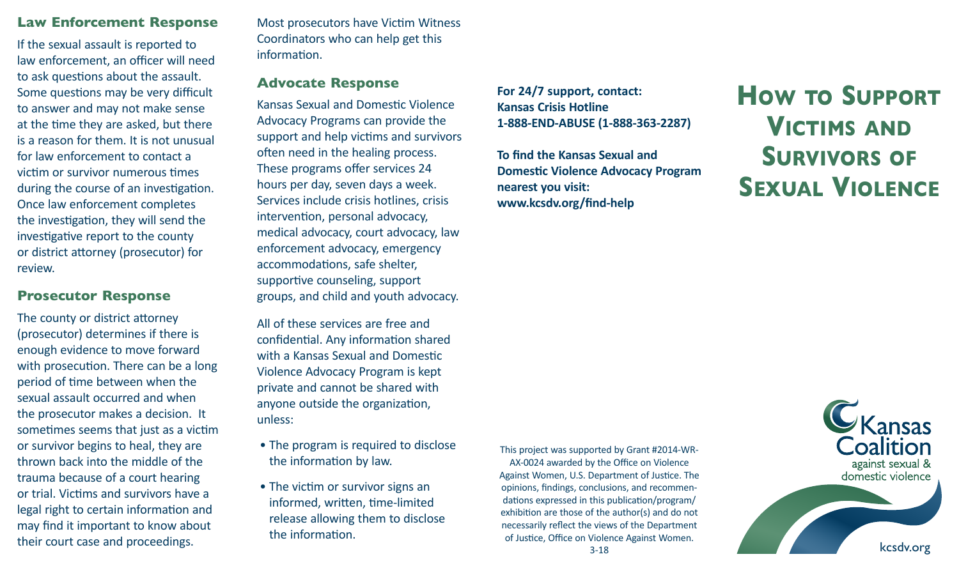#### **Law Enforcement Response**

If the sexual assault is reported to law enforcement, an officer will need to ask questions about the assault. Some questions may be very difficult to answer and may not make sense at the time they are asked, but there is a reason for them. It is not unusual for law enforcement to contact a victim or survivor numerous times during the course of an investigation. Once law enforcement completes the investigation, they will send the investigative report to the county or district attorney (prosecutor) for review.

### **Prosecutor Response**

The county or district attorney (prosecutor) determines if there is enough evidence to move forward with prosecution. There can be a long period of time between when the sexual assault occurred and when the prosecutor makes a decision. It sometimes seems that just as a victim or survivor begins to heal, they are thrown back into the middle of the trauma because of a court hearing or trial. Victims and survivors have a legal right to certain information and may find it important to know about their court case and proceedings.

Most prosecutors have Victim Witness Coordinators who can help get this information.

#### **Advocate Response**

Kansas Sexual and Domestic Violence Advocacy Programs can provide the support and help victims and survivors often need in the healing process. These programs offer services 24 hours per day, seven days a week. Services include crisis hotlines, crisis intervention, personal advocacy, medical advocacy, court advocacy, law enforcement advocacy, emergency accommodations, safe shelter, supportive counseling, support groups, and child and youth advocacy.

All of these services are free and confidential. Any information shared with a Kansas Sexual and Domestic Violence Advocacy Program is kept private and cannot be shared with anyone outside the organization, unless:

- The program is required to disclose the information by law.
- The victim or survivor signs an informed, written, time-limited release allowing them to disclose the information.

**For 24/7 support, contact: Kansas Crisis Hotline 1-888-END-ABUSE (1-888-363-2287)**

**To find the Kansas Sexual and Domestic Violence Advocacy Program nearest you visit: www.kcsdv.org/find-help**

**How to Support Victims and Survivors of Sexual Violence**

This project was supported by Grant #2014-WR-AX-0024 awarded by the Office on Violence Against Women, U.S. Department of Justice. The opinions, findings, conclusions, and recommendations expressed in this publication/program/ exhibition are those of the author(s) and do not necessarily reflect the views of the Department of Justice, Office on Violence Against Women.